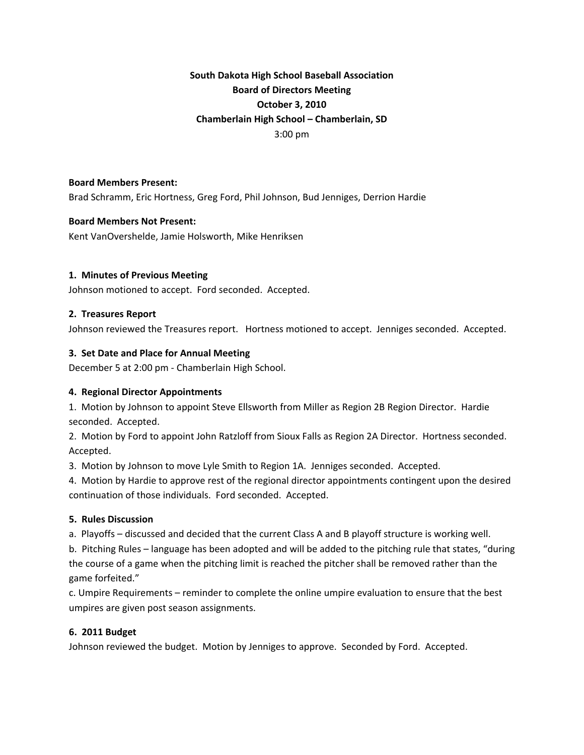# **South Dakota High School Baseball Association Board of Directors Meeting October 3, 2010 Chamberlain High School – Chamberlain, SD** 3:00 pm

## **Board Members Present:**

Brad Schramm, Eric Hortness, Greg Ford, Phil Johnson, Bud Jenniges, Derrion Hardie

#### **Board Members Not Present:**

Kent VanOvershelde, Jamie Holsworth, Mike Henriksen

## **1. Minutes of Previous Meeting**

Johnson motioned to accept. Ford seconded. Accepted.

#### **2. Treasures Report**

Johnson reviewed the Treasures report. Hortness motioned to accept. Jenniges seconded. Accepted.

## **3. Set Date and Place for Annual Meeting**

December 5 at 2:00 pm ‐ Chamberlain High School.

## **4. Regional Director Appointments**

1. Motion by Johnson to appoint Steve Ellsworth from Miller as Region 2B Region Director. Hardie seconded. Accepted.

2. Motion by Ford to appoint John Ratzloff from Sioux Falls as Region 2A Director. Hortness seconded. Accepted.

3. Motion by Johnson to move Lyle Smith to Region 1A. Jenniges seconded. Accepted.

4. Motion by Hardie to approve rest of the regional director appointments contingent upon the desired continuation of those individuals. Ford seconded. Accepted.

## **5. Rules Discussion**

a. Playoffs – discussed and decided that the current Class A and B playoff structure is working well.

b. Pitching Rules – language has been adopted and will be added to the pitching rule that states, "during the course of a game when the pitching limit is reached the pitcher shall be removed rather than the game forfeited."

c. Umpire Requirements – reminder to complete the online umpire evaluation to ensure that the best umpires are given post season assignments.

## **6. 2011 Budget**

Johnson reviewed the budget. Motion by Jenniges to approve. Seconded by Ford. Accepted.